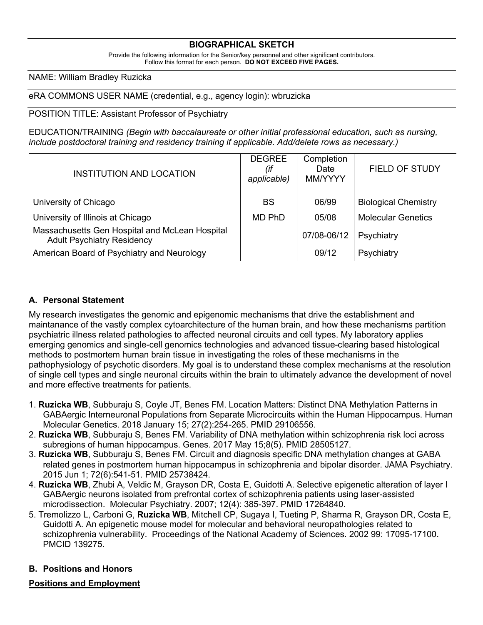### **BIOGRAPHICAL SKETCH**

Provide the following information for the Senior/key personnel and other significant contributors. Follow this format for each person. **DO NOT EXCEED FIVE PAGES.**

#### NAME: William Bradley Ruzicka

eRA COMMONS USER NAME (credential, e.g., agency login): wbruzicka

#### POSITION TITLE: Assistant Professor of Psychiatry

EDUCATION/TRAINING *(Begin with baccalaureate or other initial professional education, such as nursing, include postdoctoral training and residency training if applicable. Add/delete rows as necessary.)*

| INSTITUTION AND LOCATION                                                            | <b>DEGREE</b><br>(if<br>applicable) | Completion<br>Date<br>MM/YYYY | <b>FIELD OF STUDY</b>       |
|-------------------------------------------------------------------------------------|-------------------------------------|-------------------------------|-----------------------------|
| University of Chicago                                                               | <b>BS</b>                           | 06/99                         | <b>Biological Chemistry</b> |
| University of Illinois at Chicago                                                   | MD PhD                              | 05/08                         | <b>Molecular Genetics</b>   |
| Massachusetts Gen Hospital and McLean Hospital<br><b>Adult Psychiatry Residency</b> |                                     | 07/08-06/12                   | Psychiatry                  |
| American Board of Psychiatry and Neurology                                          |                                     | 09/12                         | Psychiatry                  |

#### **A. Personal Statement**

My research investigates the genomic and epigenomic mechanisms that drive the establishment and maintanance of the vastly complex cytoarchitecture of the human brain, and how these mechanisms partition psychiatric illness related pathologies to affected neuronal circuits and cell types. My laboratory applies emerging genomics and single-cell genomics technologies and advanced tissue-clearing based histological methods to postmortem human brain tissue in investigating the roles of these mechanisms in the pathophysiology of psychotic disorders. My goal is to understand these complex mechanisms at the resolution of single cell types and single neuronal circuits within the brain to ultimately advance the development of novel and more effective treatments for patients.

- 1. **Ruzicka WB**, Subburaju S, Coyle JT, Benes FM. Location Matters: Distinct DNA Methylation Patterns in GABAergic Interneuronal Populations from Separate Microcircuits within the Human Hippocampus. Human Molecular Genetics. 2018 January 15; 27(2):254-265. PMID 29106556.
- 2. **Ruzicka WB**, Subburaju S, Benes FM. Variability of DNA methylation within schizophrenia risk loci across subregions of human hippocampus. Genes. 2017 May 15;8(5). PMID 28505127.
- 3. **Ruzicka WB**, Subburaju S, Benes FM. Circuit and diagnosis specific DNA methylation changes at GABA related genes in postmortem human hippocampus in schizophrenia and bipolar disorder. JAMA Psychiatry. 2015 Jun 1; 72(6):541-51. PMID 25738424.
- 4. **Ruzicka WB**, Zhubi A, Veldic M, Grayson DR, Costa E, Guidotti A. Selective epigenetic alteration of layer I GABAergic neurons isolated from prefrontal cortex of schizophrenia patients using laser-assisted microdissection. Molecular Psychiatry. 2007; 12(4): 385-397. PMID 17264840.
- 5. Tremolizzo L, Carboni G, **Ruzicka WB**, Mitchell CP, Sugaya I, Tueting P, Sharma R, Grayson DR, Costa E, Guidotti A. An epigenetic mouse model for molecular and behavioral neuropathologies related to schizophrenia vulnerability. Proceedings of the National Academy of Sciences. 2002 99: 17095-17100. PMCID 139275.

#### **B. Positions and Honors**

### **Positions and Employment**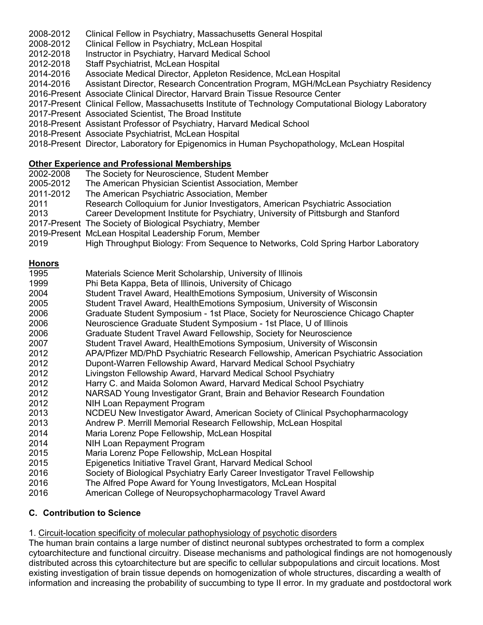- 2008-2012 Clinical Fellow in Psychiatry, Massachusetts General Hospital
- 2008-2012 Clinical Fellow in Psychiatry, McLean Hospital
- 2012-2018 Instructor in Psychiatry, Harvard Medical School
- 2012-2018 Staff Psychiatrist, McLean Hospital
- 2014-2016 Associate Medical Director, Appleton Residence, McLean Hospital
- 2014-2016 Assistant Director, Research Concentration Program, MGH/McLean Psychiatry Residency
- 2016-Present Associate Clinical Director, Harvard Brain Tissue Resource Center
- 2017-Present Clinical Fellow, Massachusetts Institute of Technology Computational Biology Laboratory
- 2017-Present Associated Scientist, The Broad Institute
- 2018-Present Assistant Professor of Psychiatry, Harvard Medical School
- 2018-Present Associate Psychiatrist, McLean Hospital
- 2018-Present Director, Laboratory for Epigenomics in Human Psychopathology, McLean Hospital

## **Other Experience and Professional Memberships**

- 2002-2008 The Society for Neuroscience, Student Member
- 2005-2012 The American Physician Scientist Association, Member
- 2011-2012 The American Psychiatric Association, Member
- 2011 Research Colloquium for Junior Investigators, American Psychiatric Association
- 2013 Career Development Institute for Psychiatry, University of Pittsburgh and Stanford
- 2017-Present The Society of Biological Psychiatry, Member
- 2019-Present McLean Hospital Leadership Forum, Member
- 2019 High Throughput Biology: From Sequence to Networks, Cold Spring Harbor Laboratory

### **Honors**

- 1995 Materials Science Merit Scholarship, University of Illinois
- 1999 Phi Beta Kappa, Beta of Illinois, University of Chicago
- 2004 Student Travel Award, HealthEmotions Symposium, University of Wisconsin
- 2005 Student Travel Award, HealthEmotions Symposium, University of Wisconsin
- 2006 Graduate Student Symposium 1st Place, Society for Neuroscience Chicago Chapter
- 2006 Neuroscience Graduate Student Symposium 1st Place, U of Illinois
- 2006 Graduate Student Travel Award Fellowship, Society for Neuroscience
- 2007 Student Travel Award, HealthEmotions Symposium, University of Wisconsin
- 2012 APA/Pfizer MD/PhD Psychiatric Research Fellowship, American Psychiatric Association
- 2012 Dupont-Warren Fellowship Award, Harvard Medical School Psychiatry
- 2012 Livingston Fellowship Award, Harvard Medical School Psychiatry
- 2012 Harry C. and Maida Solomon Award, Harvard Medical School Psychiatry
- 2012 NARSAD Young Investigator Grant, Brain and Behavior Research Foundation
- 2012 NIH Loan Repayment Program
- 2013 NCDEU New Investigator Award, American Society of Clinical Psychopharmacology
- 2013 Andrew P. Merrill Memorial Research Fellowship, McLean Hospital
- 2014 Maria Lorenz Pope Fellowship, McLean Hospital
- 2014 NIH Loan Repayment Program
- 2015 Maria Lorenz Pope Fellowship, McLean Hospital
- 2015 Epigenetics Initiative Travel Grant, Harvard Medical School
- 2016 Society of Biological Psychiatry Early Career Investigator Travel Fellowship
- 2016 The Alfred Pope Award for Young Investigators, McLean Hospital
- 2016 American College of Neuropsychopharmacology Travel Award

## **C. Contribution to Science**

1. Circuit-location specificity of molecular pathophysiology of psychotic disorders

The human brain contains a large number of distinct neuronal subtypes orchestrated to form a complex cytoarchitecture and functional circuitry. Disease mechanisms and pathological findings are not homogenously distributed across this cytoarchitecture but are specific to cellular subpopulations and circuit locations. Most existing investigation of brain tissue depends on homogenization of whole structures, discarding a wealth of information and increasing the probability of succumbing to type II error. In my graduate and postdoctoral work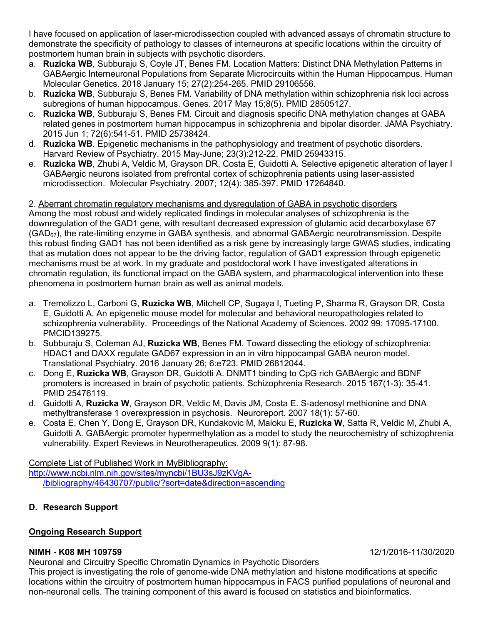I have focused on application of laser-microdissection coupled with advanced assays of chromatin structure to demonstrate the specificity of pathology to classes of interneurons at specific locations within the circuitry of postmortem human brain in subjects with psychotic disorders.

- a. **Ruzicka WB**, Subburaju S, Coyle JT, Benes FM. Location Matters: Distinct DNA Methylation Patterns in GABAergic Interneuronal Populations from Separate Microcircuits within the Human Hippocampus. Human Molecular Genetics. 2018 January 15; 27(2):254-265. PMID 29106556.
- b. **Ruzicka WB**, Subburaju S, Benes FM. Variability of DNA methylation within schizophrenia risk loci across subregions of human hippocampus. Genes. 2017 May 15;8(5). PMID 28505127.
- c. **Ruzicka WB**, Subburaju S, Benes FM. Circuit and diagnosis specific DNA methylation changes at GABA related genes in postmortem human hippocampus in schizophrenia and bipolar disorder. JAMA Psychiatry. 2015 Jun 1; 72(6):541-51. PMID 25738424.
- d. **Ruzicka WB**. Epigenetic mechanisms in the pathophysiology and treatment of psychotic disorders. Harvard Review of Psychiatry. 2015 May-June; 23(3):212-22. PMID 25943315.
- e. **Ruzicka WB**, Zhubi A, Veldic M, Grayson DR, Costa E, Guidotti A. Selective epigenetic alteration of layer I GABAergic neurons isolated from prefrontal cortex of schizophrenia patients using laser-assisted microdissection. Molecular Psychiatry. 2007; 12(4): 385-397. PMID 17264840.

### 2. Aberrant chromatin regulatory mechanisms and dysregulation of GABA in psychotic disorders

Among the most robust and widely replicated findings in molecular analyses of schizophrenia is the downregulation of the GAD1 gene, with resultant decreased expression of glutamic acid decarboxylase 67  $(GAD<sub>67</sub>)$ , the rate-limiting enzyme in GABA synthesis, and abnormal GABAergic neurotransmission. Despite this robust finding GAD1 has not been identified as a risk gene by increasingly large GWAS studies, indicating that as mutation does not appear to be the driving factor, regulation of GAD1 expression through epigenetic mechanisms must be at work. In my graduate and postdoctoral work I have investigated alterations in chromatin regulation, its functional impact on the GABA system, and pharmacological intervention into these phenomena in postmortem human brain as well as animal models.

- a. Tremolizzo L, Carboni G, **Ruzicka WB**, Mitchell CP, Sugaya I, Tueting P, Sharma R, Grayson DR, Costa E, Guidotti A. An epigenetic mouse model for molecular and behavioral neuropathologies related to schizophrenia vulnerability. Proceedings of the National Academy of Sciences. 2002 99: 17095-17100. PMCID139275.
- b. Subburaju S, Coleman AJ, **Ruzicka WB**, Benes FM. Toward dissecting the etiology of schizophrenia: HDAC1 and DAXX regulate GAD67 expression in an in vitro hippocampal GABA neuron model. Translational Psychiatry. 2016 January 26; 6:e723. PMID 26812044.
- c. Dong E, **Ruzicka WB**, Grayson DR, Guidotti A. DNMT1 binding to CpG rich GABAergic and BDNF promoters is increased in brain of psychotic patients. Schizophrenia Research. 2015 167(1-3): 35-41. PMID 25476119.
- d. Guidotti A, **Ruzicka W**, Grayson DR, Veldic M, Davis JM, Costa E. S-adenosyl methionine and DNA methyltransferase 1 overexpression in psychosis. Neuroreport. 2007 18(1): 57-60.
- e. Costa E, Chen Y, Dong E, Grayson DR, Kundakovic M, Maloku E, **Ruzicka W**, Satta R, Veldic M, Zhubi A, Guidotti A. GABAergic promoter hypermethylation as a model to study the neurochemistry of schizophrenia vulnerability. Expert Reviews in Neurotherapeutics. 2009 9(1): 87-98.

Complete List of Published Work in MyBibliography: http://www.ncbi.nlm.nih.gov/sites/myncbi/1BU3sJ9zKVgA- /bibliography/46430707/public/?sort=date&direction=ascending

**D. Research Support**

## **Ongoing Research Support**

## **NIMH - K08 MH 109759** 12/1/2016-11/30/2020

Neuronal and Circuitry Specific Chromatin Dynamics in Psychotic Disorders

This project is investigating the role of genome-wide DNA methylation and histone modifications at specific locations within the circuitry of postmortem human hippocampus in FACS purified populations of neuronal and non-neuronal cells. The training component of this award is focused on statistics and bioinformatics.